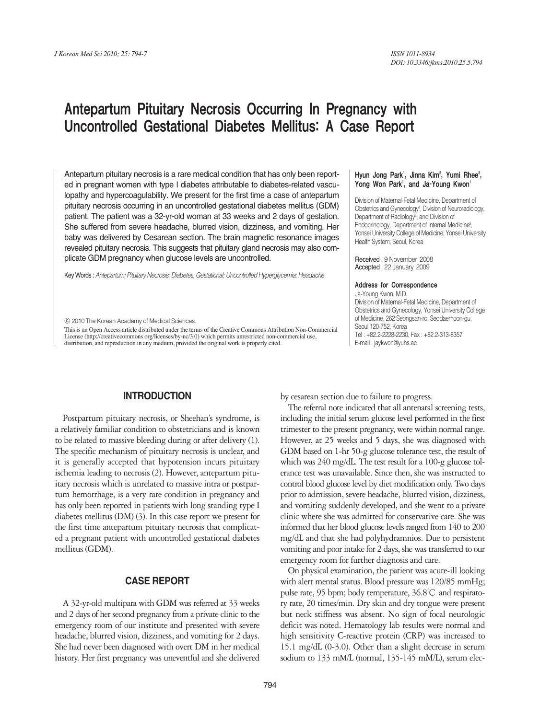# Antepartum Pituitary Necrosis Occurring In Pregnancy with Uncontrolled Gestational Diabetes Mellitus: A Case Report

Antepartum pituitary necrosis is a rare medical condition that has only been reported in pregnant women with type I diabetes attributable to diabetes-related vasculopathy and hypercoagulability. We present for the first time a case of antepartum pituitary necrosis occurring in an uncontrolled gestational diabetes mellitus (GDM) patient. The patient was a 32-yr-old woman at 33 weeks and 2 days of gestation. She suffered from severe headache, blurred vision, dizziness, and vomiting. Her baby was delivered by Cesarean section. The brain magnetic resonance images revealed pituitary necrosis. This suggests that pituitary gland necrosis may also complicate GDM pregnancy when glucose levels are uncontrolled.

Key Words : *Antepartum; Pituitary Necrosis; Diabetes, Gestational; Uncontrolled Hyperglycemia; Headache*

ⓒ 2010 The Korean Academy of Medical Sciences.

This is an Open Access article distributed under the terms of the Creative Commons Attribution Non-Commercial License (http://creativecommons.org/licenses/by-nc/3.0) which permits unrestricted non-commercial use, distribution, and reproduction in any medium, provided the original work is properly cited.

# **INTRODUCTION**

Postpartum pituitary necrosis, or Sheehan's syndrome, is a relatively familiar condition to obstetricians and is known to be related to massive bleeding during or after delivery (1). The specific mechanism of pituitary necrosis is unclear, and it is generally accepted that hypotension incurs pituitary ischemia leading to necrosis (2). However, antepartum pituitary necrosis which is unrelated to massive intra or postpartum hemorrhage, is a very rare condition in pregnancy and has only been reported in patients with long standing type I diabetes mellitus (DM) (3). In this case report we present for the first time antepartum pituitary necrosis that complicated a pregnant patient with uncontrolled gestational diabetes mellitus (GDM).

## **CASE REPORT**

A 32-yr-old multipara with GDM was referred at 33 weeks and 2 days of her second pregnancy from a private clinic to the emergency room of our institute and presented with severe headache, blurred vision, dizziness, and vomiting for 2 days. She had never been diagnosed with overt DM in her medical history. Her first pregnancy was uneventful and she delivered

#### Hyun Jong Park<sup>1</sup>, Jinna Kim<sup>2</sup>, Yumi Rhee<sup>3</sup>, Yong Won Park<sup>1</sup>, and Ja-Young Kwon<sup>1</sup>

Division of Maternal-Fetal Medicine, Department of Obstetrics and Gynecology<sup>1</sup>, Division of Neuroradiology, Department of Radiology<sup>2</sup>, and Division of Endocrinology, Department of Internal Medicine<sup>3</sup>, Yonsei University College of Medicine, Yonsei University Health System, Seoul, Korea

Received : 9 November 2008 Accepted : 22 January 2009

#### Address for Correspondence

Ja-Young Kwon, M.D. Division of Maternal-Fetal Medicine, Department of Obstetrics and Gynecology, Yonsei University College of Medicine, 262 Seongsan-ro, Seodaemoon-gu, Seoul 120-752, Korea Tel : +82.2-2228-2230, Fax : +82.2-313-8357 E-mail : jaykwon@yuhs.ac

by cesarean section due to failure to progress.

The referral note indicated that all antenatal screening tests, including the initial serum glucose level performed in the first trimester to the present pregnancy, were within normal range. However, at 25 weeks and 5 days, she was diagnosed with GDM based on 1-hr 50-g glucose tolerance test, the result of which was 240 mg/dL. The test result for a 100-g glucose tolerance test was unavailable. Since then, she was instructed to control blood glucose level by diet modification only. Two days prior to admission, severe headache, blurred vision, dizziness, and vomiting suddenly developed, and she went to a private clinic where she was admitted for conservative care. She was informed that her blood glucose levels ranged from 140 to 200 mg/dL and that she had polyhydramnios. Due to persistent vomiting and poor intake for 2 days, she was transferred to our emergency room for further diagnosis and care.

On physical examination, the patient was acute-ill looking with alert mental status. Blood pressure was 120/85 mmHg; pulse rate, 95 bpm; body temperature, 36.8℃ and respiratory rate, 20 times/min. Dry skin and dry tongue were present but neck stiffness was absent. No sign of focal neurologic deficit was noted. Hematology lab results were normal and high sensitivity C-reactive protein (CRP) was increased to 15.1 mg/dL (0-3.0). Other than a slight decrease in serum sodium to 133 mM/L (normal, 135-145 mM/L), serum elec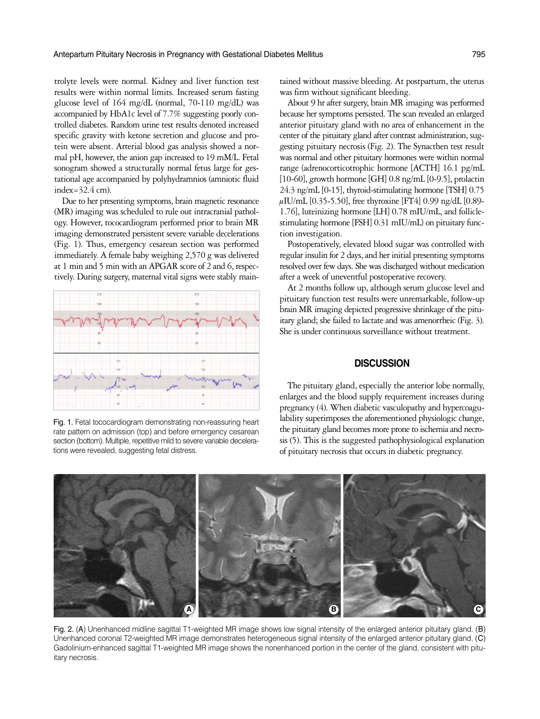trolyte levels were normal. Kidney and liver function test results were within normal limits. Increased serum fasting glucose level of 164 mg/dL (normal, 70-110 mg/dL) was accompanied by HbA1c level of 7.7% suggesting poorly controlled diabetes. Random urine test results denoted increased specific gravity with ketone secretion and glucose and protein were absent. Arterial blood gas analysis showed a normal pH, however, the anion gap increased to 19 mM/L. Fetal sonogram showed a structurally normal fetus large for gestational age accompanied by polyhydramnios (amniotic fluid index= $32.4$  cm).

Due to her presenting symptoms, brain magnetic resonance (MR) imaging was scheduled to rule out intracranial pathology. However, tococardiogram performed prior to brain MR imaging demonstrated persistent severe variable decelerations (Fig. 1). Thus, emergency cesarean section was performed immediately. A female baby weighing 2,570 g was delivered at 1 min and 5 min with an APGAR score of 2 and 6, respectively. During surgery, maternal vital signs were stably main-



Fig. 1. Fetal tococardiogram demonstrating non-reassuring heart rate pattern on admission (top) and before emergency cesarean section (bottom). Multiple, repetitive mild to severe variable decelerations were revealed, suggesting fetal distress.

tained without massive bleeding. At postpartum, the uterus was firm without significant bleeding.

About 9 hr after surgery, brain MR imaging was performed because her symptoms persisted. The scan revealed an enlarged anterior pituitary gland with no area of enhancement in the center of the pituitary gland after contrast administration, suggesting pituitary necrosis (Fig. 2). The Synacthen test result was normal and other pituitary hormones were within normal range (adrenocorticotrophic hormone [ACTH] 16.1 pg/mL [10-60], growth hormone [GH]  $0.8$  ng/mL [0-9.5], prolactin 24.3 ng/mL [0-15], thyroid-stimulating hormone [TSH] 0.75  $\mu$ IU/mL [0.35-5.50], free thyroxine [FT4] 0.99 ng/dL [0.89-1.76], luteinizing hormone [LH] 0.78 mIU/mL, and folliclestimulating hormone [FSH] 0.31 mIU/mL) on pituitary function investigation.

Postoperatively, elevated blood sugar was controlled with regular insulin for 2 days, and her initial presenting symptoms resolved over few days. She was discharged without medication after a week of uneventful postoperative recovery.

At 2 months follow up, although serum glucose level and pituitary function test results were unremarkable, follow-up brain MR imaging depicted progressive shrinkage of the pituitary gland; she failed to lactate and was amenorrheic (Fig. 3). She is under continuous surveillance without treatment.

### **DISCUSSION**

The pituitary gland, especially the anterior lobe normally, enlarges and the blood supply requirement increases during pregnancy (4). When diabetic vasculopathy and hypercoagulability superimposes the aforementioned physiologic change, the pituitary gland becomes more prone to ischemia and necrosis (5). This is the suggested pathophysiological explanation of pituitary necrosis that occurs in diabetic pregnancy.



Fig. 2. (A) Unenhanced midline sagittal T1-weighted MR image shows low signal intensity of the enlarged anterior pituitary gland. (B) Unenhanced coronal T2-weighted MR image demonstrates heterogeneous signal intensity of the enlarged anterior pituitary gland. (C) Gadolinium-enhanced sagittal T1-weighted MR image shows the nonenhanced portion in the center of the gland, consistent with pituitary necrosis.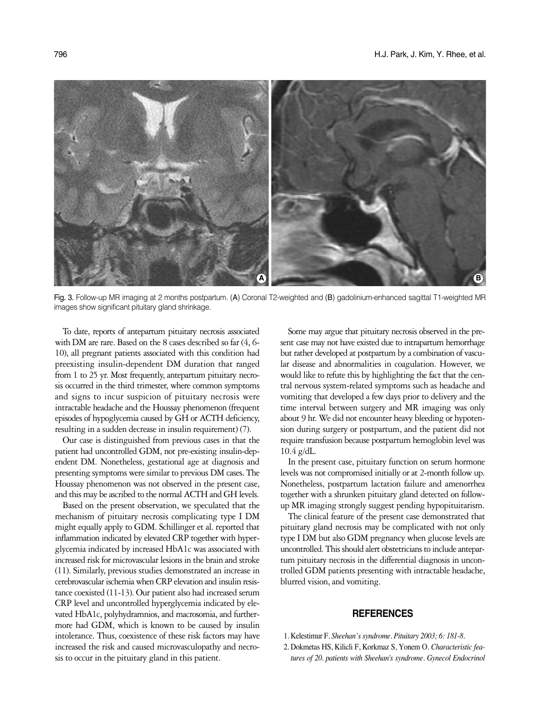

Fig. 3. Follow-up MR imaging at 2 months postpartum. (A) Coronal T2-weighted and (B) gadolinium-enhanced sagittal T1-weighted MR images show significant pituitary gland shrinkage.

To date, reports of antepartum pituitary necrosis associated with DM are rare. Based on the 8 cases described so far (4, 6- 10), all pregnant patients associated with this condition had preexisting insulin-dependent DM duration that ranged from 1 to 25 yr. Most frequently, antepartum pituitary necrosis occurred in the third trimester, where common symptoms and signs to incur suspicion of pituitary necrosis were intractable headache and the Houssay phenomenon (frequent episodes of hypoglycemia caused by GH or ACTH deficiency, resulting in a sudden decrease in insulin requirement) (7).

Our case is distinguished from previous cases in that the patient had uncontrolled GDM, not pre-existing insulin-dependent DM. Nonetheless, gestational age at diagnosis and presenting symptoms were similar to previous DM cases. The Houssay phenomenon was not observed in the present case, and this may be ascribed to the normal ACTH and GH levels.

Based on the present observation, we speculated that the mechanism of pituitary necrosis complicating type I DM might equally apply to GDM. Schillinger et al. reported that inflammation indicated by elevated CRP together with hyperglycemia indicated by increased HbA1c was associated with increased risk for microvascular lesions in the brain and stroke (11). Similarly, previous studies demonstrated an increase in cerebrovascular ischemia when CRP elevation and insulin resistance coexisted (11-13). Our patient also had increased serum CRP level and uncontrolled hyperglycemia indicated by elevated HbA1c, polyhydramnios, and macrosomia, and furthermore had GDM, which is known to be caused by insulin intolerance. Thus, coexistence of these risk factors may have increased the risk and caused microvasculopathy and necrosis to occur in the pituitary gland in this patient.

Some may argue that pituitary necrosis observed in the present case may not have existed due to intrapartum hemorrhage but rather developed at postpartum by a combination of vascular disease and abnormalities in coagulation. However, we would like to refute this by highlighting the fact that the central nervous system-related symptoms such as headache and vomiting that developed a few days prior to delivery and the time interval between surgery and MR imaging was only about 9 hr. We did not encounter heavy bleeding or hypotension during surgery or postpartum, and the patient did not require transfusion because postpartum hemoglobin level was 10.4 g/dL.

In the present case, pituitary function on serum hormone levels was not compromised initially or at 2-month follow up. Nonetheless, postpartum lactation failure and amenorrhea together with a shrunken pituitary gland detected on followup MR imaging strongly suggest pending hypopituitarism.

The clinical feature of the present case demonstrated that pituitary gland necrosis may be complicated with not only type I DM but also GDM pregnancy when glucose levels are uncontrolled. This should alert obstetricians to include antepartum pituitary necrosis in the differential diagnosis in uncontrolled GDM patients presenting with intractable headache, blurred vision, and vomiting.

## **REFERENCES**

- 1. Kelestimur F. *Sheehan's syndrome. Pituitary 2003; 6: 181-8.*
- 2. Dokmetas HS, Kilicli F, Korkmaz S, Yonem O. *Characteristic features of 20. patients with Sheehan's syndrome. Gynecol Endocrinol*